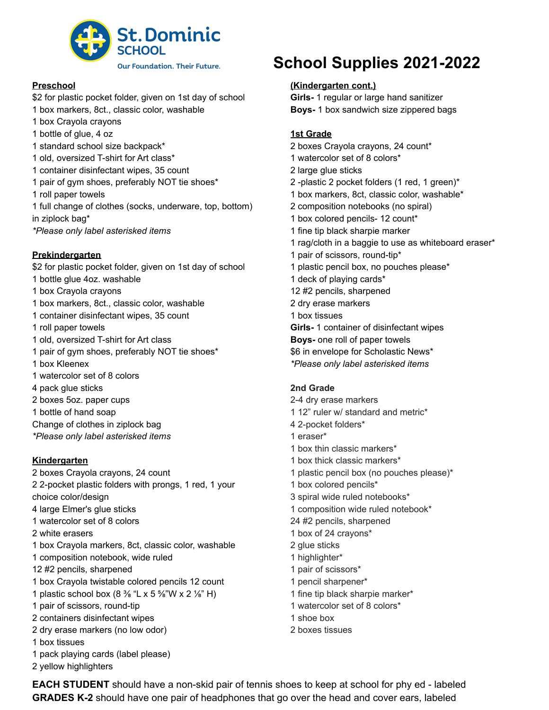

## **Preschool**

- \$2 for plastic pocket folder, given on 1st day of school
- box markers, 8ct., classic color, washable
- box Crayola crayons
- bottle of glue, 4 oz
- standard school size backpack\*
- old, oversized T-shirt for Art class\*
- container disinfectant wipes, 35 count
- pair of gym shoes, preferably NOT tie shoes\*
- roll paper towels
- full change of clothes (socks, underware, top, bottom) in ziplock bag\*
- *\*Please only label asterisked items*

## **Prekindergarten**

\$2 for plastic pocket folder, given on 1st day of school bottle glue 4oz. washable

- box Crayola crayons
- box markers, 8ct., classic color, washable
- container disinfectant wipes, 35 count
- roll paper towels
- old, oversized T-shirt for Art class
- pair of gym shoes, preferably NOT tie shoes\*
- box Kleenex
- watercolor set of 8 colors
- pack glue sticks
- boxes 5oz. paper cups
- bottle of hand soap
- Change of clothes in ziplock bag
- *\*Please only label asterisked items*

## **Kindergarten**

 boxes Crayola crayons, 24 count 2-pocket plastic folders with prongs, 1 red, 1 your

- choice color/design
- large Elmer's glue sticks
- watercolor set of 8 colors
- white erasers
- box Crayola markers, 8ct, classic color, washable
- composition notebook, wide ruled
- #2 pencils, sharpened
- box Crayola twistable colored pencils 12 count
- 1 plastic school box  $(8\frac{3}{8}$  "L x 5 %"W x 2 %" H)
- pair of scissors, round-tip
- containers disinfectant wipes
- dry erase markers (no low odor)
- box tissues
- pack playing cards (label please)
- yellow highlighters

## **School Supplies 2021-2022**

## **(Kindergarten cont.)**

**Girls-** 1 regular or large hand sanitizer **Boys-** 1 box sandwich size zippered bags

## **1st Grade**

- boxes Crayola crayons, 24 count\*
- watercolor set of 8 colors\*
- large glue sticks
- -plastic 2 pocket folders (1 red, 1 green)\*
- box markers, 8ct, classic color, washable\*
- composition notebooks (no spiral)
- box colored pencils- 12 count\*
- fine tip black sharpie marker
- rag/cloth in a baggie to use as whiteboard eraser\*
- pair of scissors, round-tip\*
- plastic pencil box, no pouches please\*
- deck of playing cards\*
- #2 pencils, sharpened
- dry erase markers
- box tissues
- **Girls-** 1 container of disinfectant wipes
- **Boys-** one roll of paper towels
- \$6 in envelope for Scholastic News\*
- *\*Please only label asterisked items*

## **2nd Grade**

- 2-4 dry erase markers
- 12" ruler w/ standard and metric\*
- 2-pocket folders\*
- eraser\*
- box thin classic markers\*
- box thick classic markers\*
- plastic pencil box (no pouches please)\*
- box colored pencils\*
- spiral wide ruled notebooks\*
- composition wide ruled notebook\*
- #2 pencils, sharpened
- box of 24 crayons\*
- glue sticks
- highlighter\*
- pair of scissors\*
- pencil sharpener\*
- fine tip black sharpie marker\*
- watercolor set of 8 colors\*
- shoe box
- boxes tissues

**EACH STUDENT** should have a non-skid pair of tennis shoes to keep at school for phy ed - labeled **GRADES K-2** should have one pair of headphones that go over the head and cover ears, labeled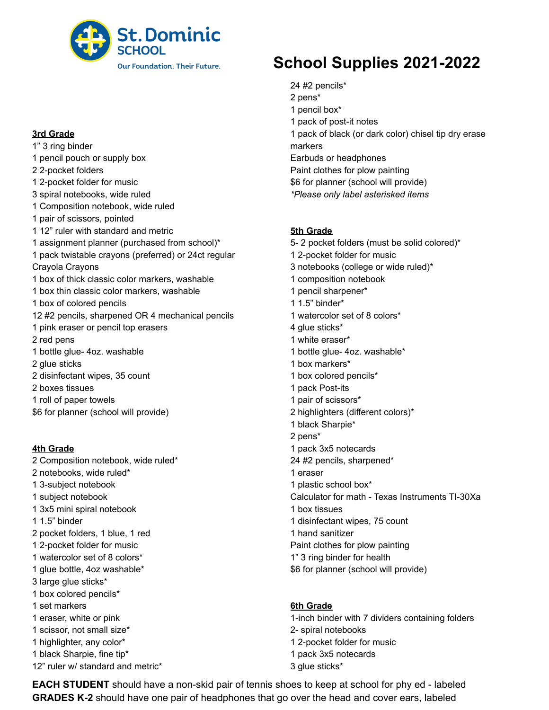

#### **3rd Grade**

- 1" 3 ring binder
- pencil pouch or supply box
- 2-pocket folders
- 2-pocket folder for music
- spiral notebooks, wide ruled
- Composition notebook, wide ruled
- pair of scissors, pointed
- 12" ruler with standard and metric
- assignment planner (purchased from school)\*
- pack twistable crayons (preferred) or 24ct regular Crayola Crayons
- box of thick classic color markers, washable box thin classic color markers, washable box of colored pencils #2 pencils, sharpened OR 4 mechanical pencils
- pink eraser or pencil top erasers
- red pens
- bottle glue- 4oz. washable
- glue sticks
- disinfectant wipes, 35 count
- boxes tissues
- roll of paper towels
- \$6 for planner (school will provide)

#### **4th Grade**

- Composition notebook, wide ruled\*
- notebooks, wide ruled\*
- 3-subject notebook
- subject notebook
- 3x5 mini spiral notebook
- 1.5" binder
- pocket folders, 1 blue, 1 red
- 2-pocket folder for music
- watercolor set of 8 colors\*
- glue bottle, 4oz washable\*
- large glue sticks\*
- box colored pencils\*
- set markers
- eraser, white or pink
- scissor, not small size\*
- highlighter, any color\*
- black Sharpie, fine tip\*
- 12" ruler w/ standard and metric\*

# **School Supplies 2021-2022**

- #2 pencils\*
- pens\*
- pencil box\*
- pack of post-it notes
- pack of black (or dark color) chisel tip dry erase
- markers Earbuds or headphones
- Paint clothes for plow painting
- \$6 for planner (school will provide)
- *\*Please only label asterisked items*

#### **5th Grade**

5- 2 pocket folders (must be solid colored)\* 2-pocket folder for music notebooks (college or wide ruled)\* composition notebook pencil sharpener\* 1.5" binder\* watercolor set of 8 colors\* glue sticks\* white eraser\* bottle glue- 4oz. washable\* box markers\* box colored pencils\* pack Post-its pair of scissors\* highlighters (different colors)\* black Sharpie\* pens\* pack 3x5 notecards #2 pencils, sharpened\* eraser plastic school box\* Calculator for math - Texas Instruments TI-30Xa box tissues disinfectant wipes, 75 count hand sanitizer Paint clothes for plow painting 1" 3 ring binder for health \$6 for planner (school will provide)

#### **6th Grade**

1-inch binder with 7 dividers containing folders 2- spiral notebooks 2-pocket folder for music pack 3x5 notecards glue sticks\*

**EACH STUDENT** should have a non-skid pair of tennis shoes to keep at school for phy ed - labeled **GRADES K-2** should have one pair of headphones that go over the head and cover ears, labeled